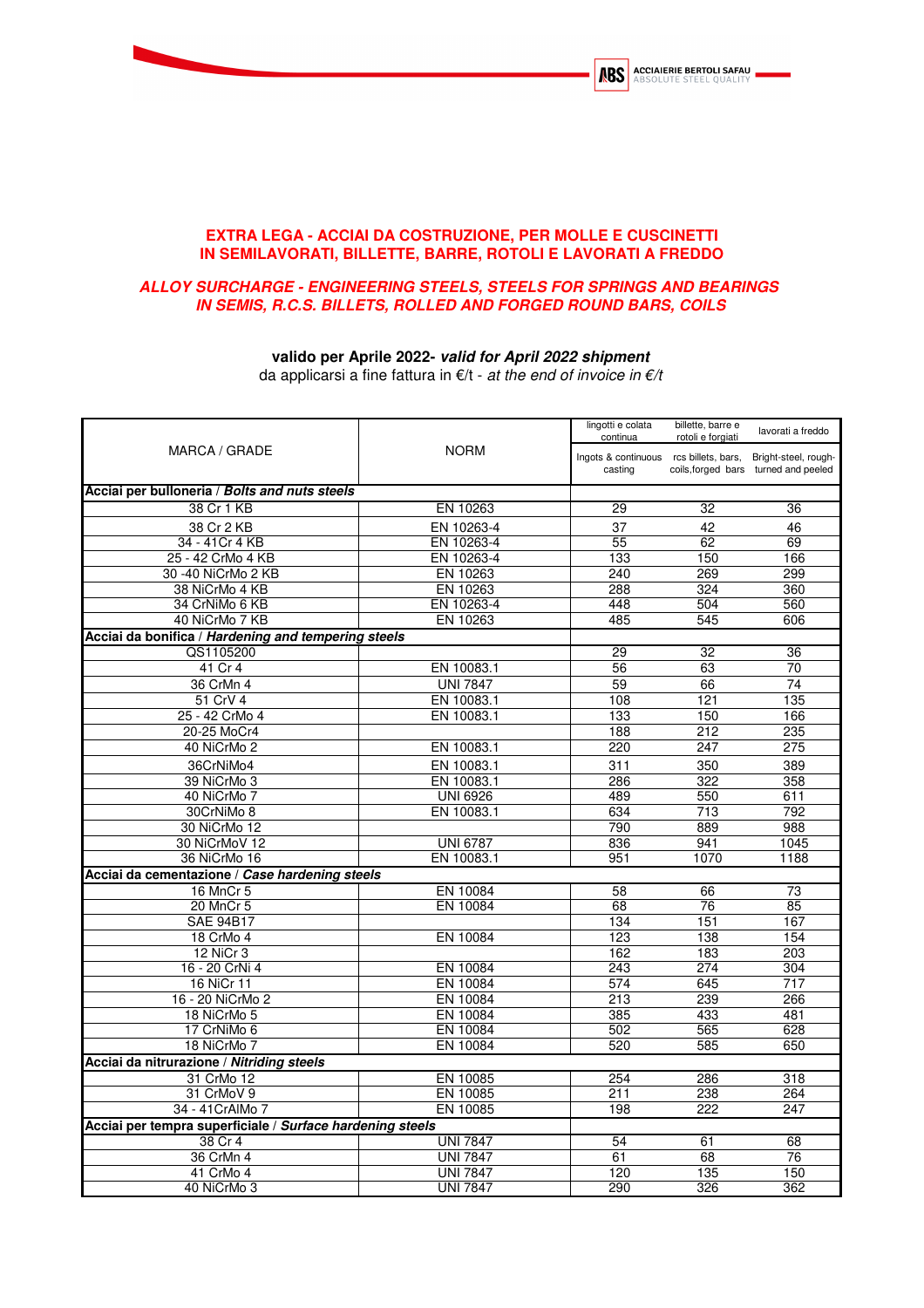

## **EXTRA LEGA - ACCIAI DA COSTRUZIONE, PER MOLLE E CUSCINETTI IN SEMILAVORATI, BILLETTE, BARRE, ROTOLI E LAVORATI A FREDDO**

## **ALLOY SURCHARGE - ENGINEERING STEELS, STEELS FOR SPRINGS AND BEARINGS IN SEMIS, R.C.S. BILLETS, ROLLED AND FORGED ROUND BARS, COILS**

## **valido per Aprile 2022- valid for April 2022 shipment**

da applicarsi a fine fattura in  $E/t$  - at the end of invoice in  $E/t$ 

| MARCA / GRADE                                             |                      | lingotti e colata<br>continua                     | billette, barre e<br>rotoli e forgiati | lavorati a freddo                                            |
|-----------------------------------------------------------|----------------------|---------------------------------------------------|----------------------------------------|--------------------------------------------------------------|
|                                                           | <b>NORM</b>          | Ingots & continuous rcs billets, bars,<br>casting |                                        | Bright-steel, rough-<br>coils, forged bars turned and peeled |
| Acciai per bulloneria / Bolts and nuts steels             |                      |                                                   |                                        |                                                              |
| 38 Cr 1 KB                                                | EN 10263             | 29                                                | 32                                     | 36                                                           |
| 38 Cr 2 KB                                                | EN 10263-4           | 37                                                | 42                                     | 46                                                           |
| 34 - 41 Cr 4 KB                                           | EN 10263-4           | 55                                                | 62                                     | 69                                                           |
| 25 - 42 CrMo 4 KB                                         | EN 10263-4           | 133                                               | 150                                    | 166                                                          |
| 30 -40 NiCrMo 2 KB                                        | EN 10263             | 240                                               | 269                                    | 299                                                          |
| 38 NiCrMo 4 KB                                            | EN 10263             | 288                                               | 324                                    | 360                                                          |
| 34 CrNiMo 6 KB                                            | EN 10263-4           | 448                                               | 504                                    | 560                                                          |
| 40 NiCrMo 7 KB                                            | EN 10263             | 485                                               | 545                                    | 606                                                          |
| Acciai da bonifica / Hardening and tempering steels       |                      |                                                   |                                        |                                                              |
| QS1105200                                                 |                      | 29                                                | $\overline{32}$                        | $\overline{36}$                                              |
| 41 Cr 4                                                   | EN 10083.1           | 56                                                | 63                                     | 70                                                           |
| 36 CrMn 4                                                 | <b>UNI 7847</b>      | 59                                                | 66                                     | 74                                                           |
| 51 CrV 4                                                  | EN 10083.1           | 108                                               | 121                                    | 135                                                          |
| 25 - 42 CrMo 4                                            | EN 10083.1           | 133                                               | 150                                    | 166                                                          |
| 20-25 MoCr4                                               |                      | 188                                               | 212                                    | 235                                                          |
| 40 NiCrMo 2                                               | EN 10083.1           | 220                                               | 247                                    | 275                                                          |
| 36CrNiMo4                                                 | EN 10083.1           | 311                                               | 350                                    | 389                                                          |
| 39 NiCrMo 3                                               | EN 10083.1           | 286                                               | 322                                    | 358                                                          |
| 40 NiCrMo 7                                               | <b>UNI 6926</b>      | 489                                               | 550                                    | 611                                                          |
| 30CrNiMo 8                                                | EN 10083.1           | 634                                               | 713                                    | 792                                                          |
| 30 NiCrMo 12                                              |                      | 790                                               | 889                                    | 988                                                          |
| 30 NiCrMoV 12                                             | <b>UNI 6787</b>      | 836                                               | 941                                    | 1045                                                         |
| 36 NiCrMo 16                                              | EN 10083.1           | 951                                               | 1070                                   | 1188                                                         |
| Acciai da cementazione / Case hardening steels            |                      |                                                   |                                        |                                                              |
| 16 MnCr 5                                                 | EN 10084             | 58                                                | 66                                     | $\overline{73}$                                              |
| 20 MnCr 5                                                 | EN 10084             | 68                                                | 76                                     | 85                                                           |
| <b>SAE 94B17</b>                                          |                      | 134                                               | 151                                    | 167                                                          |
| 18 CrMo 4                                                 | EN 10084             | 123                                               | 138                                    | 154                                                          |
| 12 NiCr 3                                                 |                      | 162                                               | 183                                    | 203                                                          |
| 16 - 20 CrNi 4                                            | EN 10084             | 243                                               | 274                                    | 304                                                          |
| 16 NiCr 11<br>16 - 20 NiCrMo 2                            | EN 10084<br>EN 10084 | 574<br>$\overline{213}$                           | 645<br>239                             | 717                                                          |
| 18 NiCrMo 5                                               | EN 10084             | 385                                               | 433                                    | 266<br>481                                                   |
| 17 CrNiMo 6                                               | EN 10084             | 502                                               | 565                                    | 628                                                          |
| 18 NiCrMo 7                                               | EN 10084             | 520                                               | 585                                    | 650                                                          |
| Acciai da nitrurazione / Nitriding steels                 |                      |                                                   |                                        |                                                              |
| 31 CrMo 12                                                | EN 10085             | 254                                               | 286                                    | 318                                                          |
| 31 CrMoV 9                                                | EN 10085             | 211                                               | 238                                    | 264                                                          |
| 34 - 41 CrAIMo 7                                          | EN 10085             | 198                                               | 222                                    | 247                                                          |
| Acciai per tempra superficiale / Surface hardening steels |                      |                                                   |                                        |                                                              |
| 38 Cr 4                                                   | <b>UNI 7847</b>      | 54                                                | 61                                     | 68                                                           |
| 36 CrMn 4                                                 | <b>UNI 7847</b>      | 61                                                | 68                                     | 76                                                           |
| 41 CrMo 4                                                 | <b>UNI 7847</b>      | 120                                               | 135                                    | 150                                                          |
| 40 NiCrMo 3                                               | <b>UNI 7847</b>      | 290                                               | 326                                    | 362                                                          |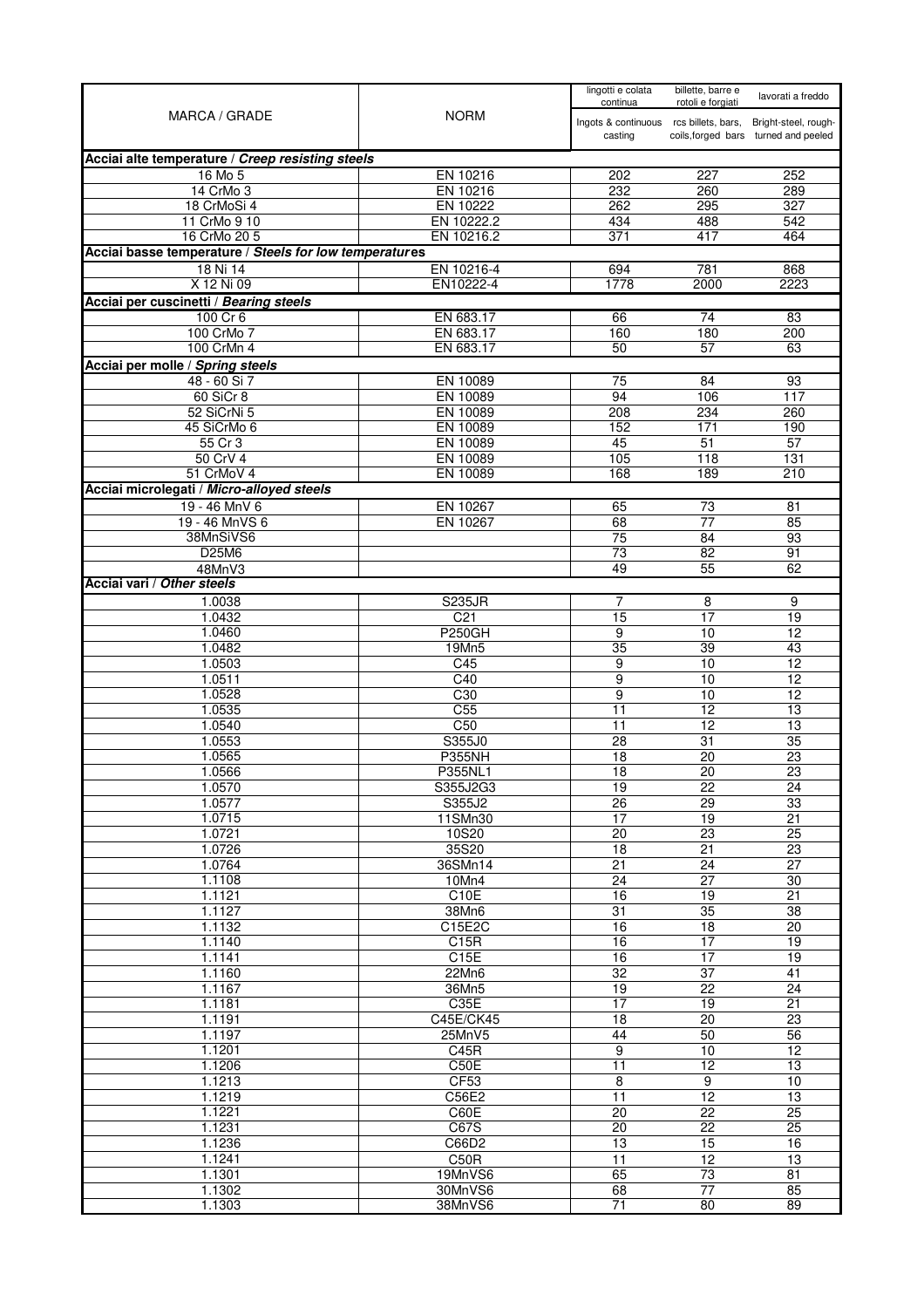| MARCA / GRADE                                              | <b>NORM</b>             | lingotti e colata<br>continua          | billette, barre e<br>rotoli e forgiati | lavorati a freddo                    |
|------------------------------------------------------------|-------------------------|----------------------------------------|----------------------------------------|--------------------------------------|
|                                                            |                         | Ingots & continuous rcs billets, bars, |                                        | Bright-steel, rough-                 |
|                                                            |                         | casting                                |                                        | coils, forged bars turned and peeled |
| Acciai alte temperature / Creep resisting steels           |                         |                                        |                                        |                                      |
| 16 Mo 5                                                    | EN 10216                | 202                                    | 227                                    | 252                                  |
| 14 CrMo 3                                                  | EN 10216                | 232                                    | 260                                    | 289                                  |
| 18 CrMoSi 4<br>11 CrMo 9 10                                | EN 10222<br>EN 10222.2  | 262<br>434                             | 295<br>488                             | 327<br>542                           |
| 16 CrMo 20 5                                               | EN 10216.2              | 371                                    | 417                                    | 464                                  |
| Acciai basse temperature / Steels for low temperatures     |                         |                                        |                                        |                                      |
| 18 Ni 14                                                   | EN 10216-4              | 694                                    | 781                                    | 868                                  |
| X 12 Ni 09                                                 | EN10222-4               | 1778                                   | 2000                                   | 2223                                 |
| Acciai per cuscinetti / Bearing steels                     |                         |                                        |                                        |                                      |
| 100 Cr 6                                                   | EN 683.17               | 66                                     | 74                                     | 83                                   |
| 100 CrMo 7                                                 | EN 683.17               | 160                                    | 180                                    | 200                                  |
| 100 CrMn 4                                                 | EN 683.17               | 50                                     | 57                                     | 63                                   |
| Acciai per molle / Spring steels<br>48 - 60 Si 7           | EN 10089                | 75                                     | 84                                     | 93                                   |
| 60 SiCr 8                                                  | EN 10089                | 94                                     | 106                                    | 117                                  |
| 52 SiCrNi 5                                                | EN 10089                | 208                                    | 234                                    | 260                                  |
| 45 SiCrMo 6                                                | EN 10089                | 152                                    | 171                                    | 190                                  |
| 55 Cr 3                                                    | EN 10089                | 45                                     | 51                                     | 57                                   |
| 50 CrV 4                                                   | EN 10089                | 105                                    | 118                                    | 131                                  |
| 51 CrMoV 4                                                 | EN 10089                | 168                                    | 189                                    | 210                                  |
| Acciai microlegati / Micro-alloyed steels<br>19 - 46 MnV 6 | EN 10267                | 65                                     | $\overline{73}$                        | 81                                   |
| 19 - 46 MnVS 6                                             | EN 10267                | 68                                     | 77                                     | 85                                   |
| 38MnSiVS6                                                  |                         | 75                                     | 84                                     | 93                                   |
| D25M6                                                      |                         | 73                                     | 82                                     | 91                                   |
| 48MnV3                                                     |                         | 49                                     | 55                                     | 62                                   |
| Acciai vari / Other steels                                 |                         |                                        |                                        |                                      |
| 1.0038                                                     | <b>S235JR</b>           | 7                                      | 8                                      | 9                                    |
| 1.0432                                                     | C <sub>21</sub>         | 15                                     | 17                                     | 19                                   |
| 1.0460<br>1.0482                                           | <b>P250GH</b><br>19Mn5  | $\overline{9}$<br>35                   | 10<br>39                               | 12<br>43                             |
| 1.0503                                                     | C45                     | 9                                      | 10                                     | 12                                   |
| 1.0511                                                     | C40                     | 9                                      | 10                                     | 12                                   |
| 1.0528                                                     | C30                     | 9                                      | 10                                     | $\overline{12}$                      |
| 1.0535                                                     | C <sub>55</sub>         | 11                                     | 12                                     | 13                                   |
| 1.0540                                                     | C50                     | 11                                     | 12                                     | 13                                   |
| 1.0553<br>1.0565                                           | S355J0<br><b>P355NH</b> | 28<br>18                               | $\overline{31}$<br>20                  | 35<br>23                             |
| 1.0566                                                     | P355NL1                 | $\overline{18}$                        | 20                                     | $\overline{23}$                      |
| 1.0570                                                     | S355J2G3                | 19                                     | 22                                     | 24                                   |
| 1.0577                                                     | S355J2                  | $\overline{26}$                        | 29                                     | 33                                   |
| 1.0715                                                     | 11SMn30                 | $\overline{17}$                        | $\overline{19}$                        | $\overline{21}$                      |
| 1.0721                                                     | 10S20                   | $\overline{20}$                        | $\overline{23}$                        | 25                                   |
| 1.0726<br>1.0764                                           | 35S20<br>36SMn14        | 18<br>$\overline{21}$                  | 21<br>24                               | $\overline{23}$<br>27                |
| 1.1108                                                     | 10Mn4                   | $\overline{24}$                        | $\overline{27}$                        | $\overline{30}$                      |
| 1.1121                                                     | C10E                    | 16                                     | 19                                     | 21                                   |
| 1.1127                                                     | 38Mn6                   | $\overline{31}$                        | $\overline{35}$                        | $\overline{38}$                      |
| 1.1132                                                     | C15E2C                  | 16                                     | $\overline{18}$                        | $\overline{20}$                      |
| 1.1140                                                     | C15R                    | 16                                     | $\overline{17}$                        | 19                                   |
| 1.1141                                                     | C15E                    | 16                                     | 17                                     | 19                                   |
| 1.1160<br>1.1167                                           | 22Mn6<br>36Mn5          | $\overline{32}$<br>19                  | $\overline{37}$<br>22                  | $\overline{41}$<br>$\overline{24}$   |
| 1.1181                                                     | C35E                    | 17                                     | 19                                     | $\overline{21}$                      |
| 1.1191                                                     | C45E/CK45               | 18                                     | 20                                     | $\overline{23}$                      |
| 1.1197                                                     | 25MnV5                  | 44                                     | 50                                     | 56                                   |
| 1.1201                                                     | C45R                    | $\overline{9}$                         | 10                                     | 12                                   |
| 1.1206                                                     | C50E                    | 11                                     | $\overline{12}$                        | 13                                   |
| 1.1213                                                     | CF53                    | 8                                      | 9                                      | 10                                   |
| 1.1219<br>1.1221                                           | C56E2<br>C60E           | $\overline{11}$<br>$\overline{20}$     | 12<br>22                               | 13<br>25                             |
| 1.1231                                                     | C67S                    | $\overline{20}$                        | $\overline{22}$                        | $\overline{25}$                      |
| 1.1236                                                     | C66D2                   | 13                                     | 15                                     | 16                                   |
| 1.1241                                                     | C50R                    | 11                                     | 12                                     | 13                                   |
| 1.1301                                                     | 19MnVS6                 | 65                                     | 73                                     | $\overline{81}$                      |
| 1.1302                                                     | 30MnVS6                 | 68                                     | $\overline{77}$                        | 85                                   |
| 1.1303                                                     | 38MnVS6                 | 71                                     | 80                                     | 89                                   |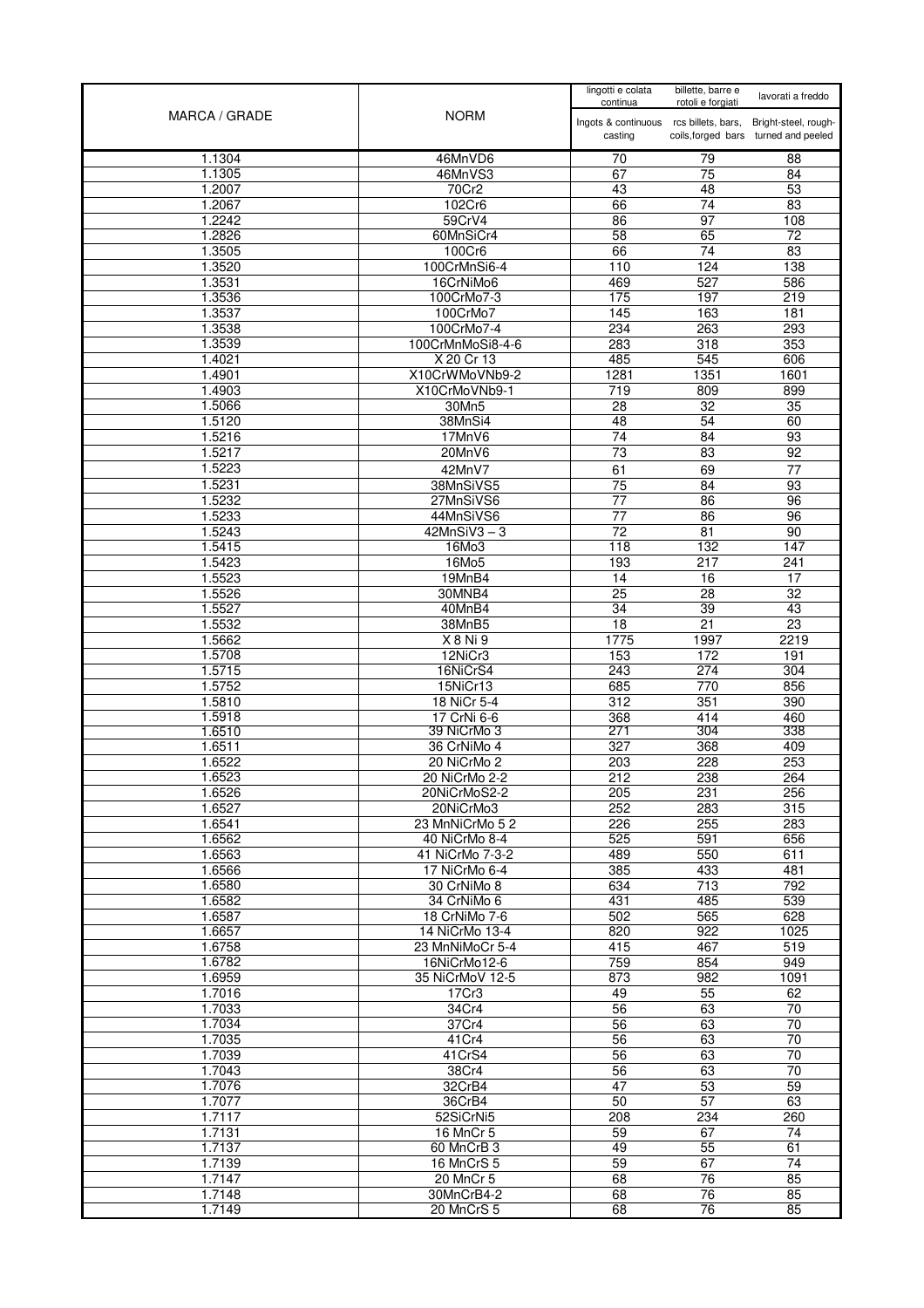| MARCA / GRADE    | <b>NORM</b>                     | lingotti e colata<br>continua                     | billette, barre e<br>rotoli e forgiati | lavorati a freddo                                            |
|------------------|---------------------------------|---------------------------------------------------|----------------------------------------|--------------------------------------------------------------|
|                  |                                 | Ingots & continuous rcs billets, bars,<br>casting |                                        | Bright-steel, rough-<br>coils, forged bars turned and peeled |
| 1.1304           | 46MnVD6                         | 70                                                | 79                                     | 88                                                           |
| 1.1305           | 46MnVS3                         | 67                                                | 75                                     | 84                                                           |
| 1.2007           | 70Cr2                           | 43                                                | 48                                     | 53                                                           |
| 1.2067<br>1.2242 | 102Cr6                          | 66                                                | $\overline{74}$<br>$\overline{97}$     | 83<br>108                                                    |
| 1.2826           | 59CrV4<br>60MnSiCr4             | 86<br>58                                          | 65                                     | 72                                                           |
| 1.3505           | 100Cr6                          | 66                                                | 74                                     | $\overline{83}$                                              |
| 1.3520           | 100CrMnSi6-4                    | 110                                               | 124                                    | 138                                                          |
| 1.3531           | 16CrNiMo6                       | 469                                               | 527                                    | 586                                                          |
| 1.3536           | 100CrMo7-3                      | 175                                               | 197                                    | 219                                                          |
| 1.3537           | 100CrMo7                        | 145                                               | 163                                    | 181                                                          |
| 1.3538           | 100CrMo7-4                      | 234                                               | 263                                    | 293                                                          |
| 1.3539           | 100CrMnMoSi8-4-6                | 283                                               | 318                                    | 353                                                          |
| 1.4021           | X 20 Cr 13                      | 485                                               | 545                                    | 606                                                          |
| 1.4901<br>1.4903 | X10CrWMoVNb9-2<br>X10CrMoVNb9-1 | 1281<br>$\overline{719}$                          | 1351<br>809                            | 1601<br>899                                                  |
| 1.5066           | 30Mn5                           | 28                                                | 32                                     | 35                                                           |
| 1.5120           | 38MnSi4                         | 48                                                | 54                                     | 60                                                           |
| 1.5216           | 17MnV6                          | 74                                                | $\overline{84}$                        | 93                                                           |
| 1.5217           | 20MnV6                          | 73                                                | 83                                     | 92                                                           |
| 1.5223           | 42MnV7                          | 61                                                | 69                                     | 77                                                           |
| 1.5231           | 38MnSiVS5                       | $\overline{75}$                                   | 84                                     | 93                                                           |
| 1.5232           | 27MnSiVS6                       | 77                                                | 86                                     | 96                                                           |
| 1.5233           | 44MnSiVS6                       | 77                                                | 86                                     | 96                                                           |
| 1.5243           | $42MnSiV3 - 3$                  | 72                                                | 81                                     | 90                                                           |
| 1.5415           | 16Mo3                           | 118                                               | 132                                    | 147                                                          |
| 1.5423<br>1.5523 | 16Mo5<br>19MnB4                 | 193<br>14                                         | 217<br>16                              | 241<br>17                                                    |
| 1.5526           | 30MNB4                          | $\overline{25}$                                   | $\overline{28}$                        | $\overline{32}$                                              |
| 1.5527           | 40MnB4                          | 34                                                | 39                                     | 43                                                           |
| 1.5532           | 38MnB5                          | $\overline{18}$                                   | 21                                     | 23                                                           |
| 1.5662           | X 8 Ni 9                        | 1775                                              | 1997                                   | 2219                                                         |
| 1.5708           | 12NiCr3                         | 153                                               | 172                                    | 191                                                          |
| 1.5715           | 16NiCrS4                        | 243                                               | 274                                    | 304                                                          |
| 1.5752           | 15NiCr13                        | 685                                               | 770                                    | 856                                                          |
| 1.5810<br>1.5918 | 18 NiCr 5-4<br>17 CrNi 6-6      | 312<br>368                                        | 351<br>414                             | 390<br>460                                                   |
| 1.6510           | 39 NiCrMo 3                     | 271                                               | 304                                    | 338                                                          |
| 1.6511           | 36 CrNiMo 4                     | 327                                               | 368                                    | 409                                                          |
| 1.6522           | 20 NiCrMo 2                     | 203                                               | 228                                    | 253                                                          |
| 1.6523           | 20 NiCrMo 2-2                   | 212                                               | 238                                    | 264                                                          |
| 1.6526           | 20NiCrMoS2-2                    | 205                                               | 231                                    | 256                                                          |
| 1.6527           | 20NiCrMo3                       | 252                                               | 283                                    | 315                                                          |
| 1.6541<br>1.6562 | 23 MnNiCrMo 52<br>40 NiCrMo 8-4 | 226<br>525                                        | 255<br>591                             | 283<br>656                                                   |
| 1.6563           | 41 NiCrMo 7-3-2                 | 489                                               | 550                                    | 611                                                          |
| 1.6566           | 17 NiCrMo 6-4                   | 385                                               | 433                                    | 481                                                          |
| 1.6580           | 30 CrNiMo 8                     | 634                                               | 713                                    | 792                                                          |
| 1.6582           | 34 CrNiMo 6                     | 431                                               | 485                                    | 539                                                          |
| 1.6587           | 18 CrNiMo 7-6                   | 502                                               | 565                                    | 628                                                          |
| 1.6657           | 14 NiCrMo 13-4                  | 820                                               | 922                                    | 1025                                                         |
| 1.6758           | 23 MnNiMoCr 5-4                 | 415                                               | 467                                    | 519                                                          |
| 1.6782<br>1.6959 | 16NiCrMo12-6<br>35 NiCrMoV 12-5 | 759<br>873                                        | 854<br>982                             | 949<br>1091                                                  |
| 1.7016           | 17Cr3                           | 49                                                | 55                                     | 62                                                           |
| 1.7033           | 34Cr4                           | 56                                                | 63                                     | 70                                                           |
| 1.7034           | 37Cr4                           | 56                                                | 63                                     | 70                                                           |
| 1.7035           | 41Cr4                           | 56                                                | 63                                     | 70                                                           |
| 1.7039           | 41CrS4                          | 56                                                | 63                                     | 70                                                           |
| 1.7043           | 38Cr4                           | 56                                                | 63                                     | $\overline{70}$                                              |
| 1.7076           | 32CrB4                          | 47                                                | 53                                     | 59                                                           |
| 1.7077<br>1.7117 | 36CrB4                          | 50<br>208                                         | 57<br>234                              | 63<br>260                                                    |
| 1.7131           | 52SiCrNi5<br>16 MnCr 5          | 59                                                | 67                                     | 74                                                           |
| 1.7137           | 60 MnCrB 3                      | 49                                                | 55                                     | 61                                                           |
| 1.7139           | 16 MnCrS 5                      | 59                                                | 67                                     | 74                                                           |
| 1.7147           | 20 MnCr 5                       | 68                                                | 76                                     | 85                                                           |
| 1.7148           | 30MnCrB4-2                      | 68                                                | 76                                     | 85                                                           |
| 1.7149           | 20 MnCrS 5                      | 68                                                | 76                                     | 85                                                           |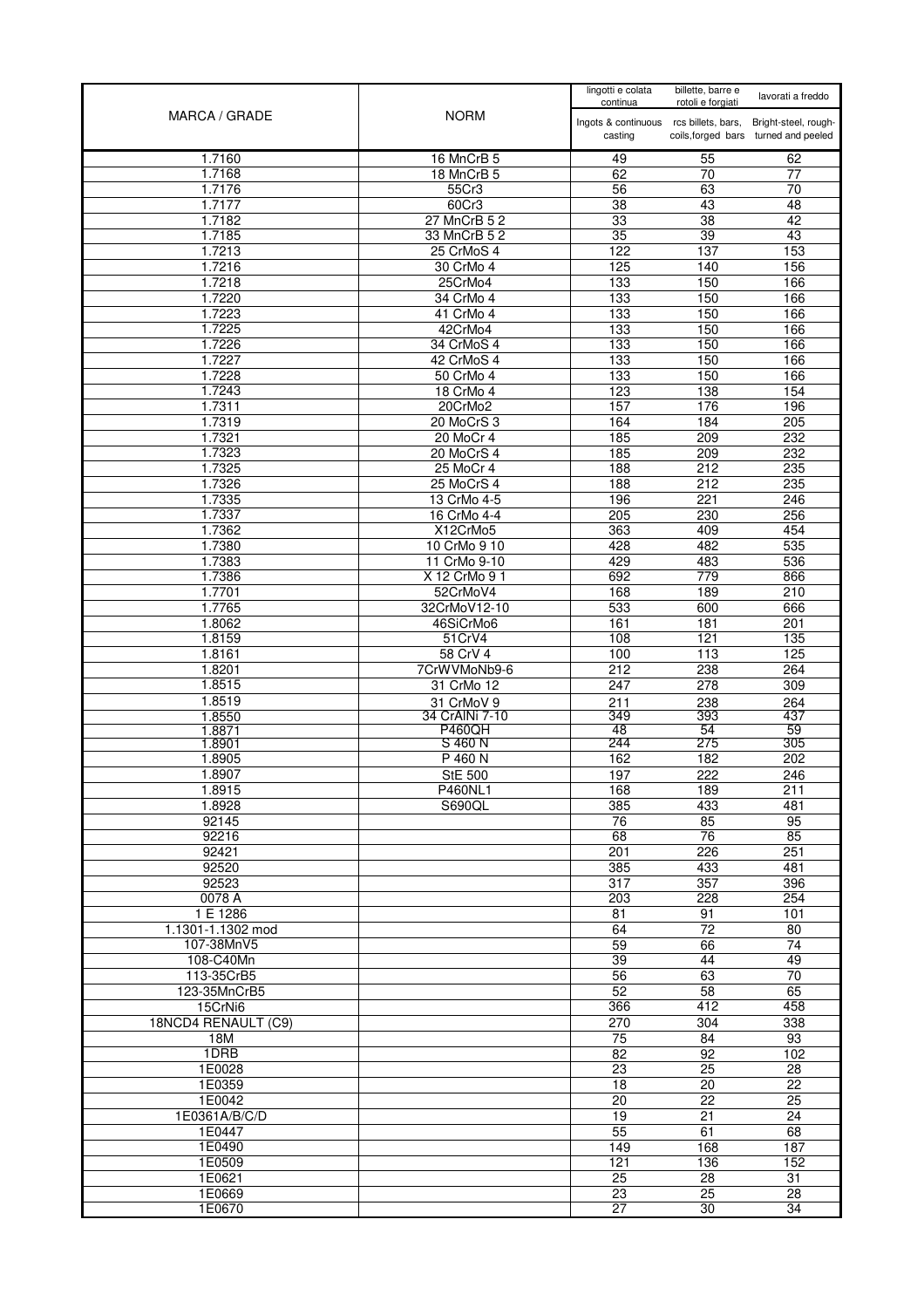| MARCA / GRADE              | <b>NORM</b>                  | lingotti e colata<br>continua                     | billette, barre e<br>rotoli e forgiati | lavorati a freddo                                            |
|----------------------------|------------------------------|---------------------------------------------------|----------------------------------------|--------------------------------------------------------------|
|                            |                              | Ingots & continuous rcs billets, bars,<br>casting |                                        | Bright-steel, rough-<br>coils, forged bars turned and peeled |
| 1.7160                     | 16 MnCrB 5                   | 49                                                | 55                                     | 62                                                           |
| 1.7168                     | 18 MnCrB 5                   | 62                                                | 70                                     | 77                                                           |
| 1.7176                     | 55Cr3                        | 56                                                | 63                                     | $\overline{70}$                                              |
| 1.7177                     | 60Cr3                        | 38                                                | 43                                     | 48                                                           |
| 1.7182                     | 27 MnCrB 5 2                 | 33                                                | $\overline{38}$                        | 42                                                           |
| 1.7185                     | 33 MnCrB 5 2                 | 35                                                | 39                                     | 43                                                           |
| 1.7213                     | 25 CrMoS 4                   | 122                                               | 137                                    | 153                                                          |
| 1.7216<br>1.7218           | 30 CrMo 4<br>25CrMo4         | 125<br>133                                        | 140<br>150                             | 156<br>166                                                   |
| 1.7220                     | 34 CrMo 4                    | 133                                               | 150                                    | 166                                                          |
| 1.7223                     | 41 CrMo 4                    | 133                                               | 150                                    | 166                                                          |
| 1.7225                     | 42CrMo4                      | 133                                               | 150                                    | 166                                                          |
| 1.7226                     | 34 CrMoS 4                   | 133                                               | 150                                    | 166                                                          |
| 1.7227                     | 42 CrMoS 4                   | 133                                               | 150                                    | 166                                                          |
| 1.7228                     | 50 CrMo 4                    | 133                                               | 150                                    | 166                                                          |
| 1.7243                     | 18 CrMo 4                    | $\overline{123}$                                  | 138                                    | 154                                                          |
| 1.7311                     | 20CrMo2                      | 157                                               | 176                                    | 196                                                          |
| 1.7319                     | 20 MoCrS 3                   | 164                                               | 184                                    | 205                                                          |
| 1.7321                     | 20 MoCr 4                    | 185                                               | 209                                    | 232                                                          |
| 1.7323                     | 20 MoCrS 4                   | 185                                               | 209                                    | 232                                                          |
| 1.7325<br>1.7326           | 25 MoCr 4                    | 188                                               | 212                                    | 235                                                          |
| 1.7335                     | 25 MoCrS 4<br>13 CrMo 4-5    | 188<br>196                                        | 212<br>221                             | 235<br>246                                                   |
| 1.7337                     | 16 CrMo 4-4                  | 205                                               | 230                                    | 256                                                          |
| 1.7362                     | X12CrMo5                     | 363                                               | 409                                    | 454                                                          |
| 1.7380                     | 10 CrMo 9 10                 | 428                                               | 482                                    | 535                                                          |
| 1.7383                     | 11 CrMo 9-10                 | 429                                               | 483                                    | 536                                                          |
| 1.7386                     | X 12 CrMo 9 1                | 692                                               | $\overline{779}$                       | 866                                                          |
| 1.7701                     | 52CrMoV4                     | 168                                               | 189                                    | 210                                                          |
| 1.7765                     | 32CrMoV12-10                 | 533                                               | 600                                    | 666                                                          |
| 1.8062                     | 46SiCrMo6                    | 161                                               | 181                                    | 201                                                          |
| 1.8159                     | 51CrV4                       | 108                                               | 121                                    | 135                                                          |
| 1.8161                     | 58 CrV 4                     | 100                                               | 113                                    | 125                                                          |
| 1.8201                     | 7CrWVMoNb9-6                 | 212                                               | 238                                    | 264                                                          |
| 1.8515                     | 31 CrMo 12                   | 247                                               | 278                                    | 309                                                          |
| 1.8519<br>1.8550           | 31 CrMoV 9<br>34 CrAINi 7-10 | 211<br>349                                        | 238<br>393                             | 264<br>437                                                   |
| 1.8871                     | <b>P460QH</b>                | 48                                                | 54                                     | 59                                                           |
| 1.8901                     | S 460 N                      | 244                                               | 275                                    | 305                                                          |
| 1.8905                     | P 460 N                      | 162                                               | 182                                    | 202                                                          |
| 1.8907                     | <b>StE 500</b>               | 197                                               | 222                                    | 246                                                          |
| 1.8915                     | P460NL1                      | 168                                               | 189                                    | 211                                                          |
| 1.8928                     | <b>S690QL</b>                | 385                                               | 433                                    | 481                                                          |
| 92145                      |                              | 76                                                | 85<br>76                               | 95                                                           |
| 92216<br>92421             |                              | 68<br>201                                         | 226                                    | 85<br>251                                                    |
| 92520                      |                              | 385                                               | 433                                    | 481                                                          |
| 92523                      |                              | $\overline{317}$                                  | 357                                    | 396                                                          |
| 0078 A                     |                              | 203                                               | 228                                    | 254                                                          |
| 1 E 1286                   |                              | 81                                                | 91                                     | 101                                                          |
| 1.1301-1.1302 mod          |                              | 64                                                | $\overline{72}$                        | $\overline{80}$                                              |
| 107-38MnV5                 |                              | 59                                                | 66                                     | 74                                                           |
| 108-C40Mn                  |                              | 39                                                | 44                                     | 49                                                           |
| 113-35CrB5                 |                              | 56                                                | 63                                     | $\overline{70}$                                              |
| 123-35MnCrB5               |                              | 52                                                | 58                                     | 65                                                           |
| 15CrNi6                    |                              | 366                                               | 412                                    | 458                                                          |
| 18NCD4 RENAULT (C9)<br>18M |                              | 270<br>75                                         | 304<br>84                              | 338<br>93                                                    |
| 1DRB                       |                              | 82                                                | 92                                     | 102                                                          |
| 1E0028                     |                              | 23                                                | 25                                     | 28                                                           |
| 1E0359                     |                              | 18                                                | 20                                     | 22                                                           |
| 1E0042                     |                              | $\overline{20}$                                   | 22                                     | 25                                                           |
| 1E0361A/B/C/D              |                              | $\overline{19}$                                   | 21                                     | 24                                                           |
| 1E0447                     |                              | 55                                                | 61                                     | 68                                                           |
| 1E0490                     |                              | 149                                               | 168                                    | 187                                                          |
| 1E0509                     |                              | 121                                               | 136                                    | 152                                                          |
| 1E0621                     |                              | $\overline{25}$                                   | $\overline{28}$                        | $\overline{31}$                                              |
| 1E0669                     |                              | 23                                                | $\overline{25}$                        | 28                                                           |
| 1E0670                     |                              | $\overline{27}$                                   | 30                                     | 34                                                           |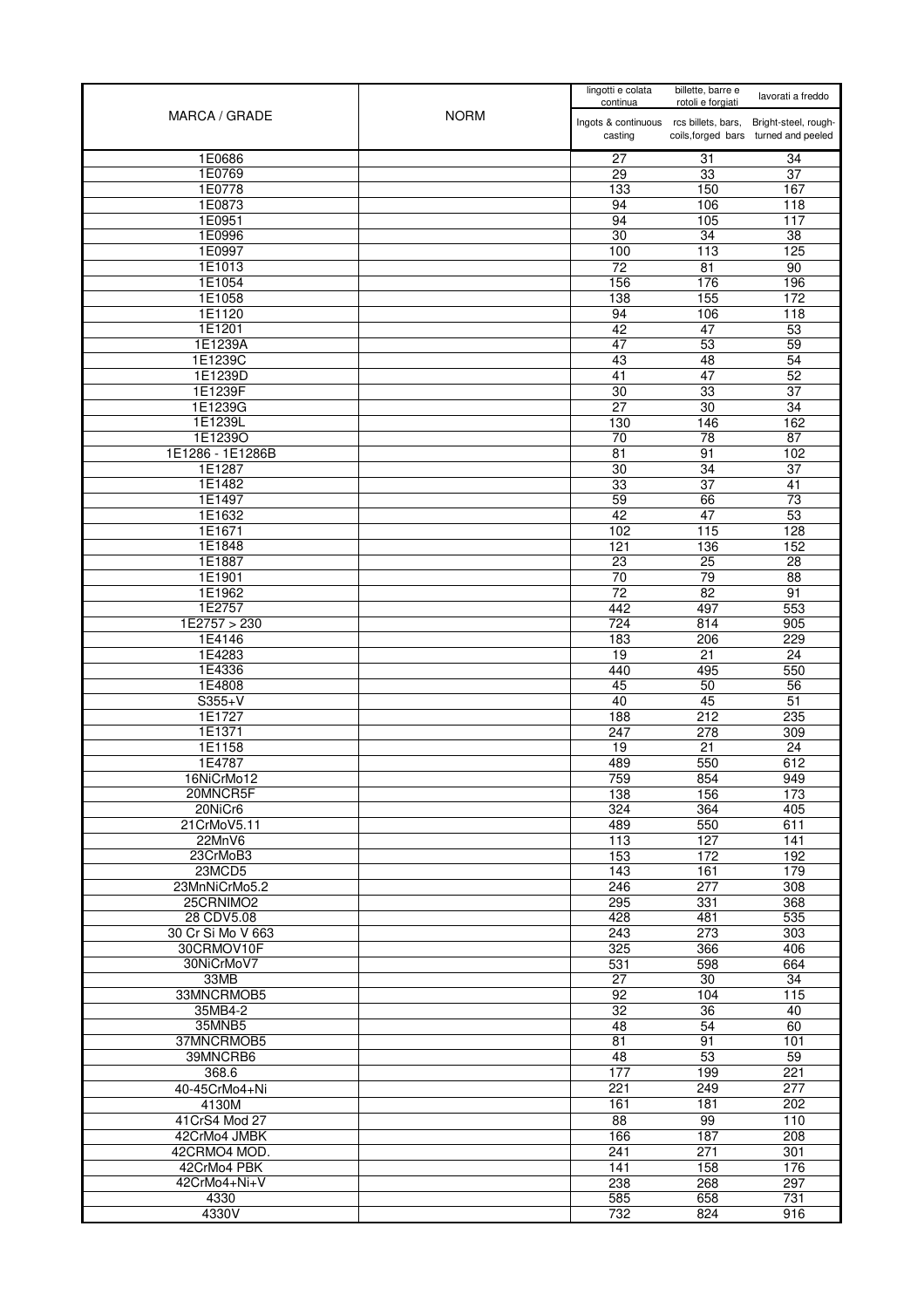| MARCA / GRADE          | <b>NORM</b> | lingotti e colata<br>continua                     | billette, barre e<br>rotoli e forgiati | lavorati a freddo                                            |
|------------------------|-------------|---------------------------------------------------|----------------------------------------|--------------------------------------------------------------|
|                        |             | Ingots & continuous rcs billets, bars,<br>casting |                                        | Bright-steel, rough-<br>coils, forged bars turned and peeled |
| 1E0686                 |             | 27                                                | 31                                     | 34                                                           |
| 1E0769                 |             | 29                                                | 33                                     | $\overline{37}$                                              |
| 1E0778                 |             | 133                                               | 150                                    | 167                                                          |
| 1E0873                 |             | 94                                                | 106                                    | 118                                                          |
| 1E0951                 |             | 94                                                | 105                                    | 117                                                          |
| 1E0996<br>1E0997       |             | 30<br>100                                         | 34<br>113                              | 38<br>125                                                    |
| 1E1013                 |             | 72                                                | 81                                     | 90                                                           |
| 1E1054                 |             | 156                                               | 176                                    | 196                                                          |
| 1E1058                 |             | 138                                               | 155                                    | 172                                                          |
| 1E1120                 |             | 94                                                | 106                                    | 118                                                          |
| 1E1201                 |             | 42                                                | 47                                     | 53                                                           |
| 1E1239A                |             | 47                                                | 53                                     | 59                                                           |
| 1E1239C                |             | 43                                                | 48                                     | $\overline{54}$                                              |
| 1E1239D                |             | 41                                                | 47                                     | 52                                                           |
| 1E1239F                |             | $\overline{30}$                                   | 33                                     | $\overline{37}$                                              |
| 1E1239G                |             | 27                                                | $\overline{30}$                        | 34                                                           |
| 1E1239L<br>1E1239O     |             | 130                                               | 146<br>$\overline{78}$                 | 162<br>$\overline{87}$                                       |
| 1E1286 - 1E1286B       |             | 70<br>81                                          | 91                                     | 102                                                          |
| 1E1287                 |             | 30                                                | 34                                     | $\overline{37}$                                              |
| 1E1482                 |             | 33                                                | $\overline{37}$                        | 41                                                           |
| 1E1497                 |             | 59                                                | 66                                     | $\overline{73}$                                              |
| 1E1632                 |             | 42                                                | 47                                     | 53                                                           |
| 1E1671                 |             | 102                                               | 115                                    | 128                                                          |
| 1E1848                 |             | 121                                               | 136                                    | 152                                                          |
| 1E1887                 |             | 23                                                | 25                                     | 28                                                           |
| 1E1901                 |             | $\overline{70}$                                   | $\overline{79}$                        | 88                                                           |
| 1E1962                 |             | $\overline{72}$                                   | $\overline{82}$                        | 91                                                           |
| 1E2757                 |             | 442                                               | 497                                    | 553                                                          |
| 1E2757 > 230           |             | 724                                               | 814                                    | 905                                                          |
| 1E4146<br>1E4283       |             | 183<br>19                                         | 206<br>21                              | 229<br>$\overline{24}$                                       |
| 1E4336                 |             | 440                                               | 495                                    | 550                                                          |
| 1E4808                 |             | 45                                                | 50                                     | $\overline{56}$                                              |
| $S355+V$               |             | 40                                                | 45                                     | 51                                                           |
| 1E1727                 |             | 188                                               | 212                                    | 235                                                          |
| 1E1371                 |             | 247                                               | 278                                    | 309                                                          |
| 1E1158                 |             | 19                                                | 21                                     | 24                                                           |
| 1E4787                 |             | 489                                               | 550                                    | 612                                                          |
| 16NiCrMo12             |             | 759                                               | 854                                    | 949                                                          |
| 20MNCR5F               |             | 138                                               | 156                                    | 173                                                          |
| 20NiCr6<br>21CrMoV5.11 |             | 324                                               | 364                                    | 405                                                          |
| 22MnV6                 |             | 489<br>113                                        | 550<br>127                             | 611<br>141                                                   |
| 23CrMoB3               |             | 153                                               | 172                                    | 192                                                          |
| 23MCD5                 |             | 143                                               | 161                                    | 179                                                          |
| 23MnNiCrMo5.2          |             | 246                                               | 277                                    | 308                                                          |
| 25CRNIMO2              |             | 295                                               | 331                                    | 368                                                          |
| 28 CDV5.08             |             | 428                                               | 481                                    | 535                                                          |
| 30 Cr Si Mo V 663      |             | 243                                               | 273                                    | 303                                                          |
| 30CRMOV10F             |             | 325                                               | 366                                    | 406                                                          |
| 30NiCrMoV7             |             | 531                                               | 598                                    | 664                                                          |
| 33MB                   |             | $\overline{27}$                                   | 30                                     | $\overline{34}$                                              |
| 33MNCRMOB5<br>35MB4-2  |             | 92<br>32                                          | 104<br>36                              | 115<br>40                                                    |
| 35MNB5                 |             | 48                                                | 54                                     | 60                                                           |
| 37MNCRMOB5             |             | 81                                                | 91                                     | 101                                                          |
| 39MNCRB6               |             | 48                                                | 53                                     | 59                                                           |
| 368.6                  |             | 177                                               | 199                                    | 221                                                          |
| 40-45CrMo4+Ni          |             | 221                                               | 249                                    | 277                                                          |
| 4130M                  |             | 161                                               | 181                                    | 202                                                          |
| 41 CrS4 Mod 27         |             | 88                                                | 99                                     | 110                                                          |
| 42CrMo4 JMBK           |             | 166                                               | 187                                    | 208                                                          |
| 42CRMO4 MOD.           |             | 241                                               | 271                                    | 301                                                          |
| 42CrMo4 PBK            |             | 141                                               | 158                                    | 176                                                          |
| 42CrMo4+Ni+V           |             | 238                                               | 268                                    | 297                                                          |
| 4330                   |             | 585                                               | 658                                    | 731                                                          |
| 4330V                  |             | 732                                               | 824                                    | 916                                                          |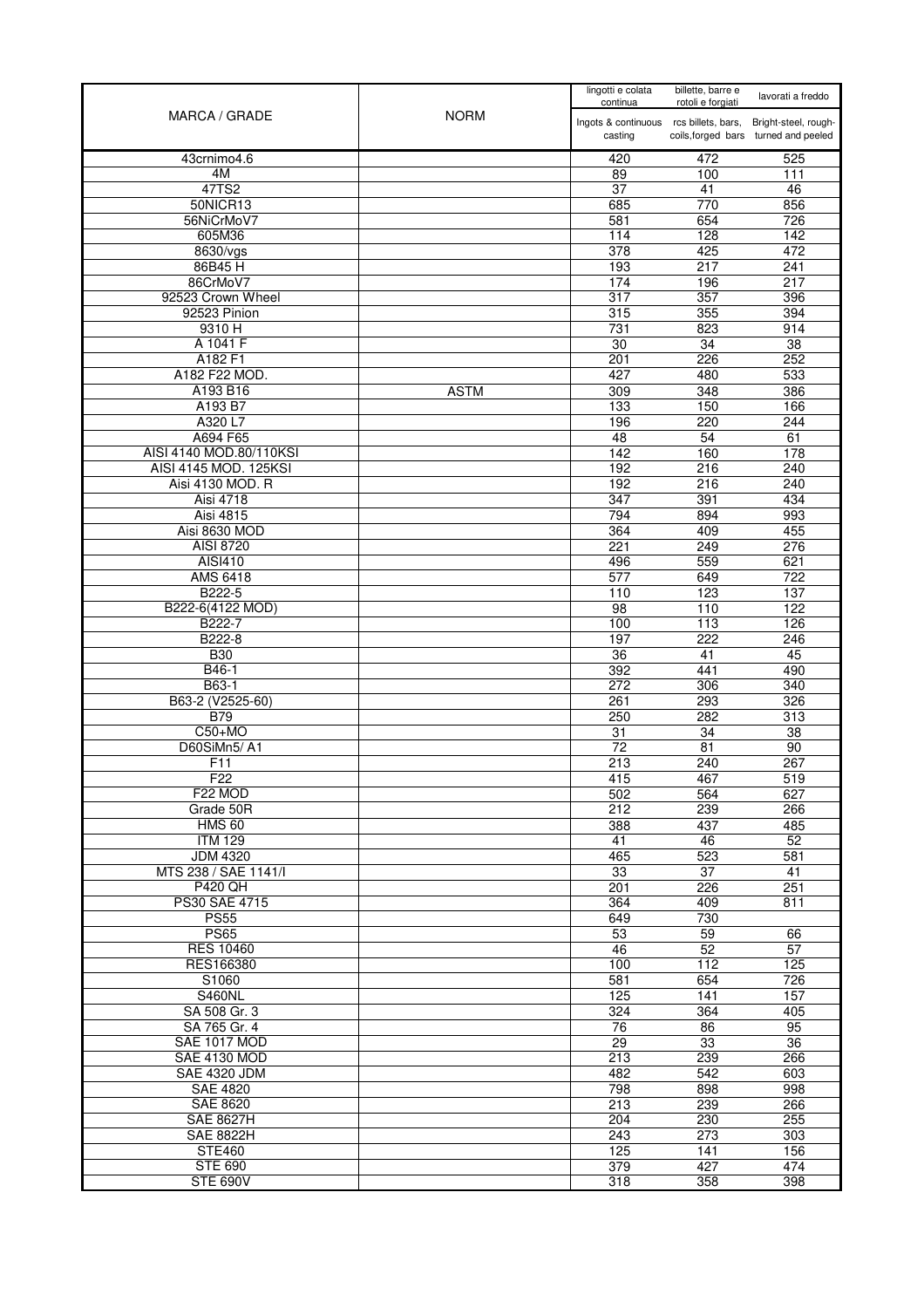| <b>NORM</b><br>MARCA / GRADE           |                                                   | lingotti e colata<br>continua | billette, barre e<br>rotoli e forgiati                       | lavorati a freddo |
|----------------------------------------|---------------------------------------------------|-------------------------------|--------------------------------------------------------------|-------------------|
|                                        | Ingots & continuous rcs billets, bars,<br>casting |                               | Bright-steel, rough-<br>coils, forged bars turned and peeled |                   |
| 43crnimo4.6                            |                                                   | 420                           | 472                                                          | 525               |
| 4M                                     |                                                   | 89                            | 100                                                          | 111               |
| 47TS2                                  |                                                   | 37                            | 41                                                           | 46                |
| 50NICR13<br>56NiCrMoV7                 |                                                   | 685                           | 770                                                          | 856               |
| 605M36                                 |                                                   | 581<br>114                    | 654<br>128                                                   | 726<br>142        |
| 8630/vgs                               |                                                   | 378                           | 425                                                          | 472               |
| 86B45H                                 |                                                   | 193                           | 217                                                          | 241               |
| 86CrMoV7                               |                                                   | 174                           | 196                                                          | 217               |
| 92523 Crown Wheel                      |                                                   | 317                           | 357                                                          | 396               |
| 92523 Pinion                           |                                                   | 315                           | 355                                                          | 394               |
| 9310 H                                 |                                                   | 731                           | 823                                                          | 914               |
| A 1041 F                               |                                                   | 30                            | $\overline{34}$                                              | $\overline{38}$   |
| A182 F1                                |                                                   | 201                           | 226                                                          | 252               |
| A182 F22 MOD.                          |                                                   | 427                           | 480                                                          | 533               |
| A193 B16                               | <b>ASTM</b>                                       | 309                           | 348                                                          | 386               |
| A193 B7                                |                                                   | 133                           | 150                                                          | 166               |
| A320 L7                                |                                                   | 196                           | 220                                                          | 244               |
| A694 F65                               |                                                   | 48                            | 54                                                           | 61                |
| AISI 4140 MOD.80/110KSI                |                                                   | 142                           | 160                                                          | 178               |
| AISI 4145 MOD. 125KSI                  |                                                   | 192                           | 216                                                          | 240               |
| Aisi 4130 MOD. R                       |                                                   | 192                           | 216                                                          | 240               |
| Aisi 4718                              |                                                   | 347                           | 391                                                          | 434               |
| <b>Aisi 4815</b><br>Aisi 8630 MOD      |                                                   | 794<br>364                    | 894<br>409                                                   | 993<br>455        |
| <b>AISI 8720</b>                       |                                                   | 221                           | 249                                                          | 276               |
| AISI410                                |                                                   | 496                           | 559                                                          | 621               |
| <b>AMS 6418</b>                        |                                                   | 577                           | 649                                                          | $\overline{722}$  |
| B222-5                                 |                                                   | 110                           | 123                                                          | 137               |
| B222-6(4122 MOD)                       |                                                   | 98                            | 110                                                          | 122               |
| B222-7                                 |                                                   | 100                           | 113                                                          | 126               |
| B222-8                                 |                                                   | 197                           | 222                                                          | 246               |
| <b>B30</b>                             |                                                   | 36                            | 41                                                           | 45                |
| B46-1                                  |                                                   | 392                           | 441                                                          | 490               |
| B63-1                                  |                                                   | 272                           | 306                                                          | 340               |
| B63-2 (V2525-60)                       |                                                   | 261                           | 293                                                          | 326               |
| <b>B79</b>                             |                                                   | 250                           | 282                                                          | 313               |
| $C50+MO$                               |                                                   | 31                            | 34                                                           | 38                |
| D60SiMn5/A1                            |                                                   | 72                            | 81                                                           | 90                |
| F11<br>F <sub>22</sub>                 |                                                   | 213                           | 240                                                          | 267               |
| F22 MOD                                |                                                   | 415                           | 467                                                          | 519               |
| Grade 50R                              |                                                   | 502<br>212                    | 564<br>239                                                   | 627<br>266        |
| <b>HMS 60</b>                          |                                                   | 388                           | 437                                                          | 485               |
| <b>ITM 129</b>                         |                                                   | 41                            | 46                                                           | 52                |
| <b>JDM 4320</b>                        |                                                   | 465                           | 523                                                          | 581               |
| MTS 238 / SAE 1141/I                   |                                                   | 33                            | 37                                                           | 41                |
| <b>P420 QH</b>                         |                                                   | 201                           | 226                                                          | 251               |
| PS30 SAE 4715                          |                                                   | 364                           | 409                                                          | 811               |
| <b>PS55</b>                            |                                                   | 649                           | 730                                                          |                   |
| <b>PS65</b>                            |                                                   | 53                            | 59                                                           | 66                |
| <b>RES 10460</b>                       |                                                   | 46                            | 52                                                           | 57                |
| RES166380                              |                                                   | 100                           | 112                                                          | 125               |
| S1060                                  |                                                   | 581                           | 654                                                          | 726               |
| <b>S460NL</b>                          |                                                   | 125                           | 141                                                          | 157               |
| SA 508 Gr. 3                           |                                                   | 324                           | 364                                                          | 405               |
| SA 765 Gr. 4                           |                                                   | 76                            | 86                                                           | 95                |
| SAE 1017 MOD                           |                                                   | 29                            | 33                                                           | $\overline{36}$   |
| <b>SAE 4130 MOD</b>                    |                                                   | 213                           | 239                                                          | 266               |
| <b>SAE 4320 JDM</b><br><b>SAE 4820</b> |                                                   | 482<br>798                    | 542<br>898                                                   | 603<br>998        |
| <b>SAE 8620</b>                        |                                                   | 213                           | 239                                                          | 266               |
| <b>SAE 8627H</b>                       |                                                   | 204                           | 230                                                          | 255               |
| <b>SAE 8822H</b>                       |                                                   | 243                           | 273                                                          | 303               |
| <b>STE460</b>                          |                                                   | 125                           | 141                                                          | 156               |
| <b>STE 690</b>                         |                                                   | 379                           | 427                                                          | 474               |
| <b>STE 690V</b>                        |                                                   | 318                           | 358                                                          | 398               |